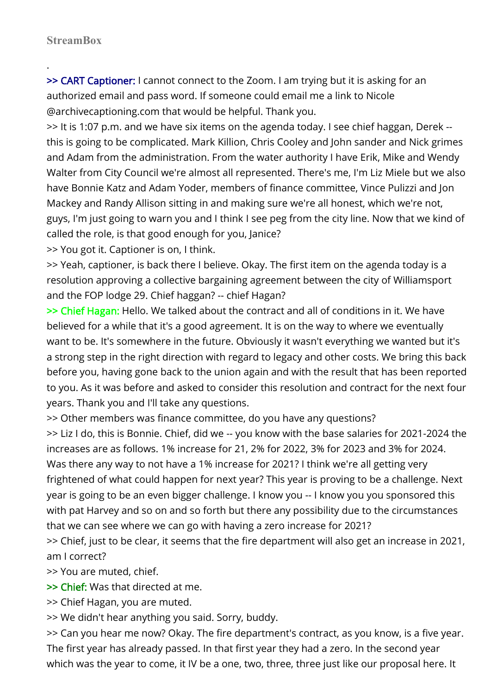.

>> CART Captioner: I cannot connect to the Zoom. I am trying but it is asking for an authorized email and pass word. If someone could email me a link to Nicole @archivecaptioning.com that would be helpful. Thank you.

>> It is 1:07 p.m. and we have six items on the agenda today. I see chief haggan, Derek - this is going to be complicated. Mark Killion, Chris Cooley and John sander and Nick grimes and Adam from the administration. From the water authority I have Erik, Mike and Wendy Walter from City Council we're almost all represented. There's me, I'm Liz Miele but we also have Bonnie Katz and Adam Yoder, members of finance committee, Vince Pulizzi and Jon Mackey and Randy Allison sitting in and making sure we're all honest, which we're not, guys, I'm just going to warn you and I think I see peg from the city line. Now that we kind of called the role, is that good enough for you, Janice?

>> You got it. Captioner is on, I think.

>> Yeah, captioner, is back there I believe. Okay. The first item on the agenda today is a resolution approving a collective bargaining agreement between the city of Williamsport and the FOP lodge 29. Chief haggan? -- chief Hagan?

>> Chief Hagan: Hello. We talked about the contract and all of conditions in it. We have believed for a while that it's a good agreement. It is on the way to where we eventually want to be. It's somewhere in the future. Obviously it wasn't everything we wanted but it's a strong step in the right direction with regard to legacy and other costs. We bring this back before you, having gone back to the union again and with the result that has been reported to you. As it was before and asked to consider this resolution and contract for the next four years. Thank you and I'll take any questions.

>> Other members was finance committee, do you have any questions?

>> Liz I do, this is Bonnie. Chief, did we -- you know with the base salaries for 2021-2024 the increases are as follows. 1% increase for 21, 2% for 2022, 3% for 2023 and 3% for 2024. Was there any way to not have a 1% increase for 2021? I think we're all getting very frightened of what could happen for next year? This year is proving to be a challenge. Next year is going to be an even bigger challenge. I know you -- I know you you sponsored this with pat Harvey and so on and so forth but there any possibility due to the circumstances that we can see where we can go with having a zero increase for 2021?

>> Chief, just to be clear, it seems that the fire department will also get an increase in 2021, am I correct?

>> You are muted, chief.

>> Chief: Was that directed at me.

>> Chief Hagan, you are muted.

>> We didn't hear anything you said. Sorry, buddy.

>> Can you hear me now? Okay. The fire department's contract, as you know, is a five year. The first year has already passed. In that first year they had a zero. In the second year which was the year to come, it IV be a one, two, three, three just like our proposal here. It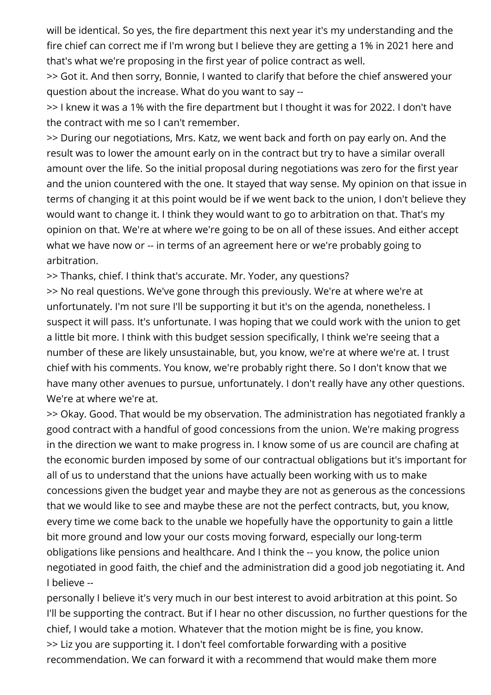will be identical. So yes, the fire department this next year it's my understanding and the fire chief can correct me if I'm wrong but I believe they are getting a 1% in 2021 here and that's what we're proposing in the first year of police contract as well.

>> Got it. And then sorry, Bonnie, I wanted to clarify that before the chief answered your question about the increase. What do you want to say --

>> I knew it was a 1% with the fire department but I thought it was for 2022. I don't have the contract with me so I can't remember.

>> During our negotiations, Mrs. Katz, we went back and forth on pay early on. And the result was to lower the amount early on in the contract but try to have a similar overall amount over the life. So the initial proposal during negotiations was zero for the first year and the union countered with the one. It stayed that way sense. My opinion on that issue in terms of changing it at this point would be if we went back to the union, I don't believe they would want to change it. I think they would want to go to arbitration on that. That's my opinion on that. We're at where we're going to be on all of these issues. And either accept what we have now or -- in terms of an agreement here or we're probably going to arbitration.

>> Thanks, chief. I think that's accurate. Mr. Yoder, any questions?

>> No real questions. We've gone through this previously. We're at where we're at unfortunately. I'm not sure I'll be supporting it but it's on the agenda, nonetheless. I suspect it will pass. It's unfortunate. I was hoping that we could work with the union to get a little bit more. I think with this budget session specifically, I think we're seeing that a number of these are likely unsustainable, but, you know, we're at where we're at. I trust chief with his comments. You know, we're probably right there. So I don't know that we have many other avenues to pursue, unfortunately. I don't really have any other questions. We're at where we're at.

>> Okay. Good. That would be my observation. The administration has negotiated frankly a good contract with a handful of good concessions from the union. We're making progress in the direction we want to make progress in. I know some of us are council are chafing at the economic burden imposed by some of our contractual obligations but it's important for all of us to understand that the unions have actually been working with us to make concessions given the budget year and maybe they are not as generous as the concessions that we would like to see and maybe these are not the perfect contracts, but, you know, every time we come back to the unable we hopefully have the opportunity to gain a little bit more ground and low your our costs moving forward, especially our long-term obligations like pensions and healthcare. And I think the -- you know, the police union negotiated in good faith, the chief and the administration did a good job negotiating it. And I believe --

personally I believe it's very much in our best interest to avoid arbitration at this point. So I'll be supporting the contract. But if I hear no other discussion, no further questions for the chief, I would take a motion. Whatever that the motion might be is fine, you know. >> Liz you are supporting it. I don't feel comfortable forwarding with a positive recommendation. We can forward it with a recommend that would make them more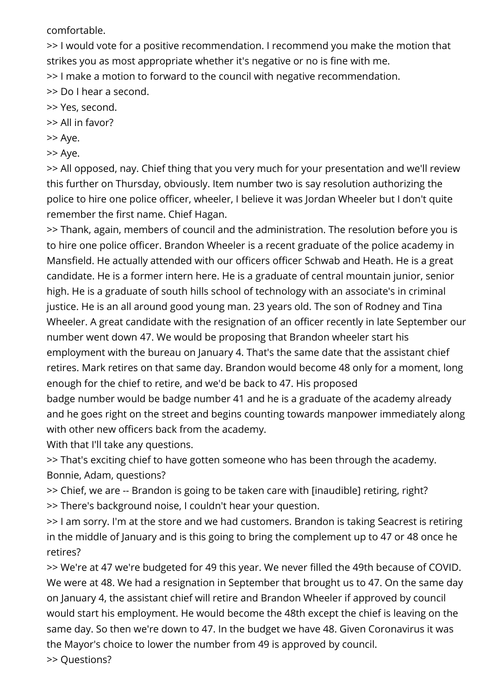comfortable.

>> I would vote for a positive recommendation. I recommend you make the motion that strikes you as most appropriate whether it's negative or no is fine with me. >> I make a motion to forward to the council with negative recommendation.

>> Do I hear a second.

>> Yes, second.

>> All in favor?

>> Aye.

>> Aye.

>> All opposed, nay. Chief thing that you very much for your presentation and we'll review this further on Thursday, obviously. Item number two is say resolution authorizing the police to hire one police officer, wheeler, I believe it was Jordan Wheeler but I don't quite remember the first name. Chief Hagan.

>> Thank, again, members of council and the administration. The resolution before you is to hire one police officer. Brandon Wheeler is a recent graduate of the police academy in Mansfield. He actually attended with our officers officer Schwab and Heath. He is a great candidate. He is a former intern here. He is a graduate of central mountain junior, senior high. He is a graduate of south hills school of technology with an associate's in criminal justice. He is an all around good young man. 23 years old. The son of Rodney and Tina Wheeler. A great candidate with the resignation of an officer recently in late September our number went down 47. We would be proposing that Brandon wheeler start his employment with the bureau on January 4. That's the same date that the assistant chief retires. Mark retires on that same day. Brandon would become 48 only for a moment, long enough for the chief to retire, and we'd be back to 47. His proposed badge number would be badge number 41 and he is a graduate of the academy already and he goes right on the street and begins counting towards manpower immediately along

with other new officers back from the academy. With that I'll take any questions.

>> That's exciting chief to have gotten someone who has been through the academy. Bonnie, Adam, questions?

>> Chief, we are -- Brandon is going to be taken care with [inaudible] retiring, right? >> There's background noise, I couldn't hear your question.

>> I am sorry. I'm at the store and we had customers. Brandon is taking Seacrest is retiring in the middle of January and is this going to bring the complement up to 47 or 48 once he retires?

>> We're at 47 we're budgeted for 49 this year. We never filled the 49th because of COVID. We were at 48. We had a resignation in September that brought us to 47. On the same day on January 4, the assistant chief will retire and Brandon Wheeler if approved by council would start his employment. He would become the 48th except the chief is leaving on the same day. So then we're down to 47. In the budget we have 48. Given Coronavirus it was the Mayor's choice to lower the number from 49 is approved by council. >> Questions?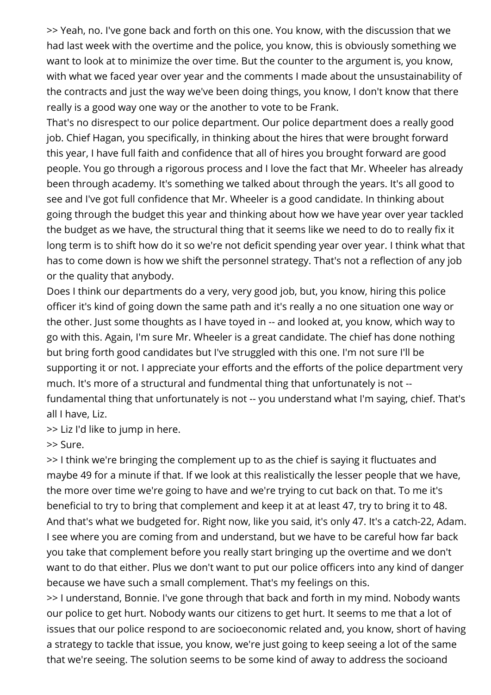>> Yeah, no. I've gone back and forth on this one. You know, with the discussion that we had last week with the overtime and the police, you know, this is obviously something we want to look at to minimize the over time. But the counter to the argument is, you know, with what we faced year over year and the comments I made about the unsustainability of the contracts and just the way we've been doing things, you know, I don't know that there really is a good way one way or the another to vote to be Frank.

That's no disrespect to our police department. Our police department does a really good job. Chief Hagan, you specifically, in thinking about the hires that were brought forward this year, I have full faith and confidence that all of hires you brought forward are good people. You go through a rigorous process and I love the fact that Mr. Wheeler has already been through academy. It's something we talked about through the years. It's all good to see and I've got full confidence that Mr. Wheeler is a good candidate. In thinking about going through the budget this year and thinking about how we have year over year tackled the budget as we have, the structural thing that it seems like we need to do to really fix it long term is to shift how do it so we're not deficit spending year over year. I think what that has to come down is how we shift the personnel strategy. That's not a reflection of any job or the quality that anybody.

Does I think our departments do a very, very good job, but, you know, hiring this police officer it's kind of going down the same path and it's really a no one situation one way or the other. Just some thoughts as I have toyed in -- and looked at, you know, which way to go with this. Again, I'm sure Mr. Wheeler is a great candidate. The chief has done nothing but bring forth good candidates but I've struggled with this one. I'm not sure I'll be supporting it or not. I appreciate your efforts and the efforts of the police department very much. It's more of a structural and fundmental thing that unfortunately is not - fundamental thing that unfortunately is not -- you understand what I'm saying, chief. That's all I have, Liz.

>> Liz I'd like to jump in here.

>> Sure.

>> I think we're bringing the complement up to as the chief is saying it fluctuates and maybe 49 for a minute if that. If we look at this realistically the lesser people that we have, the more over time we're going to have and we're trying to cut back on that. To me it's beneficial to try to bring that complement and keep it at at least 47, try to bring it to 48. And that's what we budgeted for. Right now, like you said, it's only 47. It's a catch-22, Adam. I see where you are coming from and understand, but we have to be careful how far back you take that complement before you really start bringing up the overtime and we don't want to do that either. Plus we don't want to put our police officers into any kind of danger because we have such a small complement. That's my feelings on this.

>> I understand, Bonnie. I've gone through that back and forth in my mind. Nobody wants our police to get hurt. Nobody wants our citizens to get hurt. It seems to me that a lot of issues that our police respond to are socioeconomic related and, you know, short of having a strategy to tackle that issue, you know, we're just going to keep seeing a lot of the same that we're seeing. The solution seems to be some kind of away to address the socioand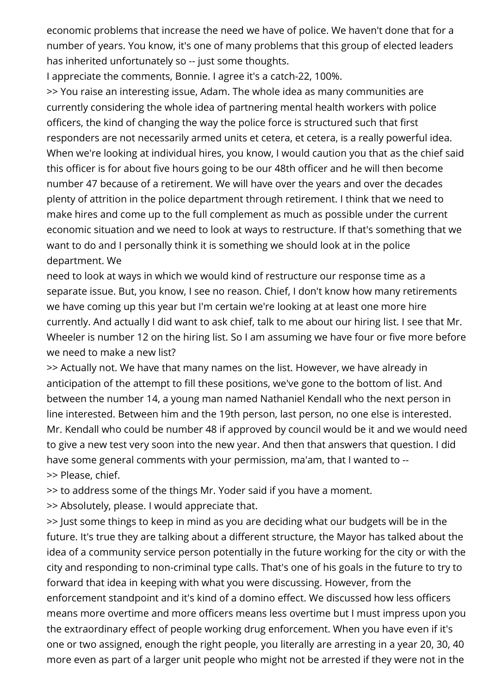economic problems that increase the need we have of police. We haven't done that for a number of years. You know, it's one of many problems that this group of elected leaders has inherited unfortunately so -- just some thoughts.

I appreciate the comments, Bonnie. I agree it's a catch-22, 100%.

>> You raise an interesting issue, Adam. The whole idea as many communities are currently considering the whole idea of partnering mental health workers with police officers, the kind of changing the way the police force is structured such that first responders are not necessarily armed units et cetera, et cetera, is a really powerful idea. When we're looking at individual hires, you know, I would caution you that as the chief said this officer is for about five hours going to be our 48th officer and he will then become number 47 because of a retirement. We will have over the years and over the decades plenty of attrition in the police department through retirement. I think that we need to make hires and come up to the full complement as much as possible under the current economic situation and we need to look at ways to restructure. If that's something that we want to do and I personally think it is something we should look at in the police department. We

need to look at ways in which we would kind of restructure our response time as a separate issue. But, you know, I see no reason. Chief, I don't know how many retirements we have coming up this year but I'm certain we're looking at at least one more hire currently. And actually I did want to ask chief, talk to me about our hiring list. I see that Mr. Wheeler is number 12 on the hiring list. So I am assuming we have four or five more before we need to make a new list?

>> Actually not. We have that many names on the list. However, we have already in anticipation of the attempt to fill these positions, we've gone to the bottom of list. And between the number 14, a young man named Nathaniel Kendall who the next person in line interested. Between him and the 19th person, last person, no one else is interested. Mr. Kendall who could be number 48 if approved by council would be it and we would need to give a new test very soon into the new year. And then that answers that question. I did have some general comments with your permission, ma'am, that I wanted to -- >> Please, chief.

>> to address some of the things Mr. Yoder said if you have a moment.

>> Absolutely, please. I would appreciate that.

>> Just some things to keep in mind as you are deciding what our budgets will be in the future. It's true they are talking about a different structure, the Mayor has talked about the idea of a community service person potentially in the future working for the city or with the city and responding to non-criminal type calls. That's one of his goals in the future to try to forward that idea in keeping with what you were discussing. However, from the enforcement standpoint and it's kind of a domino effect. We discussed how less officers means more overtime and more officers means less overtime but I must impress upon you the extraordinary effect of people working drug enforcement. When you have even if it's one or two assigned, enough the right people, you literally are arresting in a year 20, 30, 40 more even as part of a larger unit people who might not be arrested if they were not in the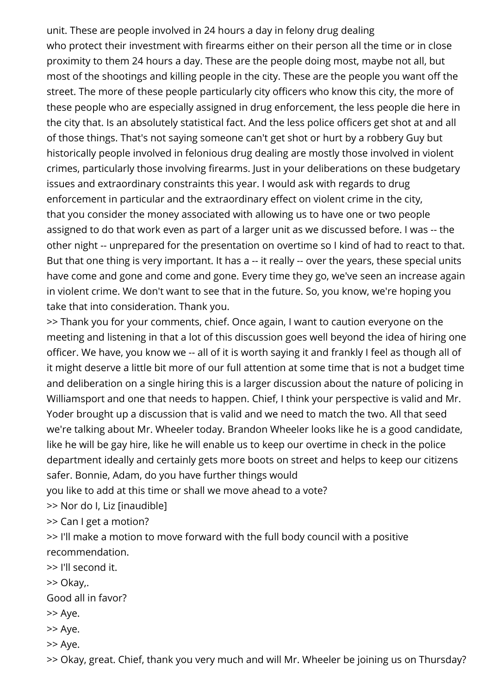unit. These are people involved in 24 hours a day in felony drug dealing who protect their investment with firearms either on their person all the time or in close proximity to them 24 hours a day. These are the people doing most, maybe not all, but most of the shootings and killing people in the city. These are the people you want off the street. The more of these people particularly city officers who know this city, the more of these people who are especially assigned in drug enforcement, the less people die here in the city that. Is an absolutely statistical fact. And the less police officers get shot at and all of those things. That's not saying someone can't get shot or hurt by a robbery Guy but historically people involved in felonious drug dealing are mostly those involved in violent crimes, particularly those involving firearms. Just in your deliberations on these budgetary issues and extraordinary constraints this year. I would ask with regards to drug enforcement in particular and the extraordinary effect on violent crime in the city, that you consider the money associated with allowing us to have one or two people assigned to do that work even as part of a larger unit as we discussed before. I was -- the other night -- unprepared for the presentation on overtime so I kind of had to react to that. But that one thing is very important. It has a -- it really -- over the years, these special units have come and gone and come and gone. Every time they go, we've seen an increase again in violent crime. We don't want to see that in the future. So, you know, we're hoping you take that into consideration. Thank you.

>> Thank you for your comments, chief. Once again, I want to caution everyone on the meeting and listening in that a lot of this discussion goes well beyond the idea of hiring one officer. We have, you know we -- all of it is worth saying it and frankly I feel as though all of it might deserve a little bit more of our full attention at some time that is not a budget time and deliberation on a single hiring this is a larger discussion about the nature of policing in Williamsport and one that needs to happen. Chief, I think your perspective is valid and Mr. Yoder brought up a discussion that is valid and we need to match the two. All that seed we're talking about Mr. Wheeler today. Brandon Wheeler looks like he is a good candidate, like he will be gay hire, like he will enable us to keep our overtime in check in the police department ideally and certainly gets more boots on street and helps to keep our citizens safer. Bonnie, Adam, do you have further things would

you like to add at this time or shall we move ahead to a vote?

>> Nor do I, Liz [inaudible]

>> Can I get a motion?

>> I'll make a motion to move forward with the full body council with a positive recommendation.

>> I'll second it.

>> Okay,.

Good all in favor?

- >> Aye.
- >> Aye.

>> Aye.

>> Okay, great. Chief, thank you very much and will Mr. Wheeler be joining us on Thursday?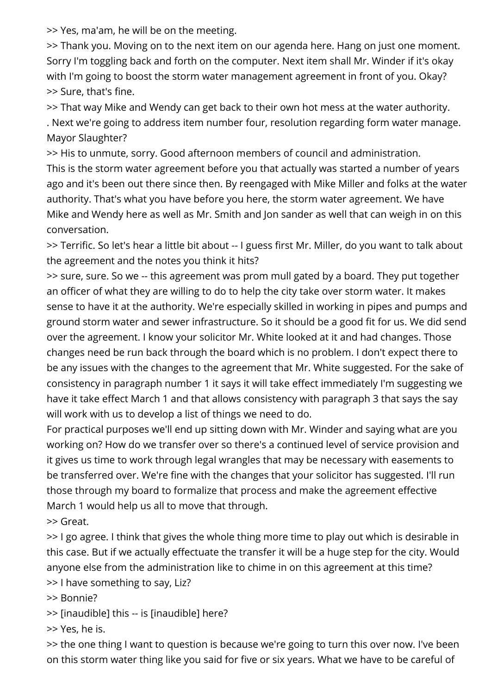>> Yes, ma'am, he will be on the meeting.

>> Thank you. Moving on to the next item on our agenda here. Hang on just one moment. Sorry I'm toggling back and forth on the computer. Next item shall Mr. Winder if it's okay with I'm going to boost the storm water management agreement in front of you. Okay? >> Sure, that's fine.

>> That way Mike and Wendy can get back to their own hot mess at the water authority.

. Next we're going to address item number four, resolution regarding form water manage. Mayor Slaughter?

>> His to unmute, sorry. Good afternoon members of council and administration. This is the storm water agreement before you that actually was started a number of years ago and it's been out there since then. By reengaged with Mike Miller and folks at the water authority. That's what you have before you here, the storm water agreement. We have Mike and Wendy here as well as Mr. Smith and Jon sander as well that can weigh in on this conversation.

>> Terrific. So let's hear a little bit about -- I guess first Mr. Miller, do you want to talk about the agreement and the notes you think it hits?

>> sure, sure. So we -- this agreement was prom mull gated by a board. They put together an officer of what they are willing to do to help the city take over storm water. It makes sense to have it at the authority. We're especially skilled in working in pipes and pumps and ground storm water and sewer infrastructure. So it should be a good fit for us. We did send over the agreement. I know your solicitor Mr. White looked at it and had changes. Those changes need be run back through the board which is no problem. I don't expect there to be any issues with the changes to the agreement that Mr. White suggested. For the sake of consistency in paragraph number 1 it says it will take effect immediately I'm suggesting we have it take effect March 1 and that allows consistency with paragraph 3 that says the say will work with us to develop a list of things we need to do.

For practical purposes we'll end up sitting down with Mr. Winder and saying what are you working on? How do we transfer over so there's a continued level of service provision and it gives us time to work through legal wrangles that may be necessary with easements to be transferred over. We're fine with the changes that your solicitor has suggested. I'll run those through my board to formalize that process and make the agreement effective March 1 would help us all to move that through.

>> Great.

>> I go agree. I think that gives the whole thing more time to play out which is desirable in this case. But if we actually effectuate the transfer it will be a huge step for the city. Would anyone else from the administration like to chime in on this agreement at this time?

>> I have something to say, Liz?

>> Bonnie?

>> [inaudible] this -- is [inaudible] here?

>> Yes, he is.

>> the one thing I want to question is because we're going to turn this over now. I've been on this storm water thing like you said for five or six years. What we have to be careful of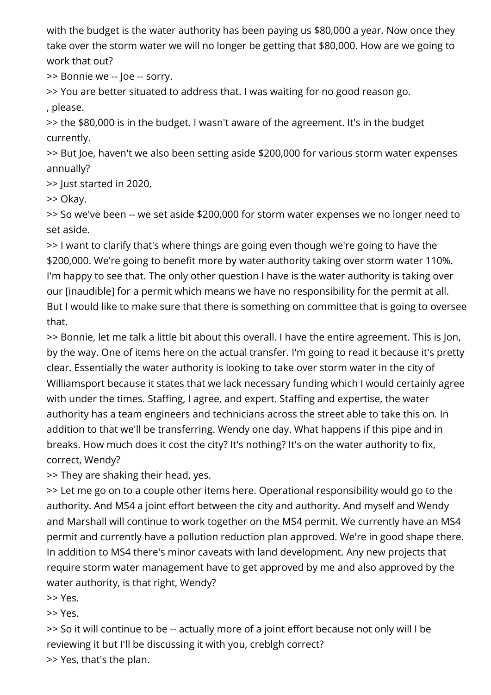with the budget is the water authority has been paying us \$80,000 a year. Now once they take over the storm water we will no longer be getting that \$80,000. How are we going to work that out?

>> Bonnie we -- Joe -- sorry.

>> You are better situated to address that. I was waiting for no good reason go. , please.

>> the \$80,000 is in the budget. I wasn't aware of the agreement. It's in the budget currently.

>> But Joe, haven't we also been setting aside \$200,000 for various storm water expenses annually?

>> Just started in 2020.

>> Okay.

>> So we've been -- we set aside \$200,000 for storm water expenses we no longer need to set aside.

>> I want to clarify that's where things are going even though we're going to have the \$200,000. We're going to benefit more by water authority taking over storm water 110%. I'm happy to see that. The only other question I have is the water authority is taking over our [inaudible] for a permit which means we have no responsibility for the permit at all. But I would like to make sure that there is something on committee that is going to oversee that.

>> Bonnie, let me talk a little bit about this overall. I have the entire agreement. This is Jon, by the way. One of items here on the actual transfer. I'm going to read it because it's pretty clear. Essentially the water authority is looking to take over storm water in the city of Williamsport because it states that we lack necessary funding which I would certainly agree with under the times. Staffing, I agree, and expert. Staffing and expertise, the water authority has a team engineers and technicians across the street able to take this on. In addition to that we'll be transferring. Wendy one day. What happens if this pipe and in breaks. How much does it cost the city? It's nothing? It's on the water authority to fix, correct, Wendy?

>> They are shaking their head, yes.

>> Let me go on to a couple other items here. Operational responsibility would go to the authority. And MS4 a joint effort between the city and authority. And myself and Wendy and Marshall will continue to work together on the MS4 permit. We currently have an MS4 permit and currently have a pollution reduction plan approved. We're in good shape there. In addition to MS4 there's minor caveats with land development. Any new projects that require storm water management have to get approved by me and also approved by the water authority, is that right, Wendy?

>> Yes.

>> Yes.

>> So it will continue to be -- actually more of a joint effort because not only will I be reviewing it but I'll be discussing it with you, creblgh correct? >> Yes, that's the plan.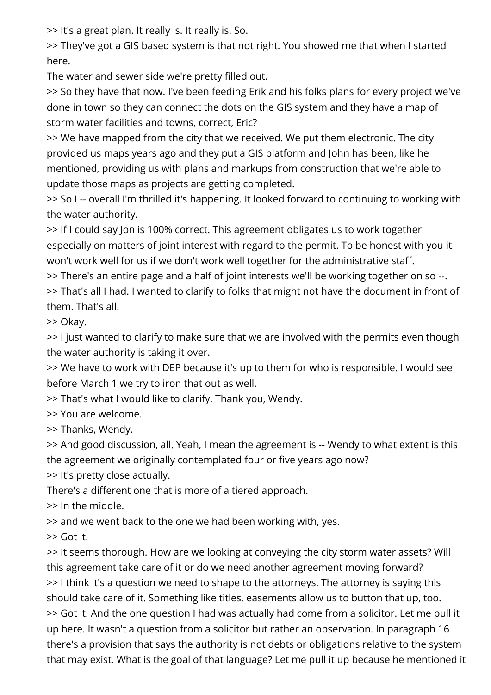>> It's a great plan. It really is. It really is. So.

>> They've got a GIS based system is that not right. You showed me that when I started here.

The water and sewer side we're pretty filled out.

>> So they have that now. I've been feeding Erik and his folks plans for every project we've done in town so they can connect the dots on the GIS system and they have a map of storm water facilities and towns, correct, Eric?

>> We have mapped from the city that we received. We put them electronic. The city provided us maps years ago and they put a GIS platform and John has been, like he mentioned, providing us with plans and markups from construction that we're able to update those maps as projects are getting completed.

>> So I -- overall I'm thrilled it's happening. It looked forward to continuing to working with the water authority.

>> If I could say Jon is 100% correct. This agreement obligates us to work together especially on matters of joint interest with regard to the permit. To be honest with you it won't work well for us if we don't work well together for the administrative staff.

>> There's an entire page and a half of joint interests we'll be working together on so --.

>> That's all I had. I wanted to clarify to folks that might not have the document in front of them. That's all.

>> Okay.

>> I just wanted to clarify to make sure that we are involved with the permits even though the water authority is taking it over.

>> We have to work with DEP because it's up to them for who is responsible. I would see before March 1 we try to iron that out as well.

>> That's what I would like to clarify. Thank you, Wendy.

>> You are welcome.

>> Thanks, Wendy.

>> And good discussion, all. Yeah, I mean the agreement is -- Wendy to what extent is this the agreement we originally contemplated four or five years ago now?

>> It's pretty close actually.

There's a different one that is more of a tiered approach.

>> In the middle.

>> and we went back to the one we had been working with, yes.

>> Got it.

>> It seems thorough. How are we looking at conveying the city storm water assets? Will this agreement take care of it or do we need another agreement moving forward? >> I think it's a question we need to shape to the attorneys. The attorney is saying this should take care of it. Something like titles, easements allow us to button that up, too. >> Got it. And the one question I had was actually had come from a solicitor. Let me pull it up here. It wasn't a question from a solicitor but rather an observation. In paragraph 16 there's a provision that says the authority is not debts or obligations relative to the system that may exist. What is the goal of that language? Let me pull it up because he mentioned it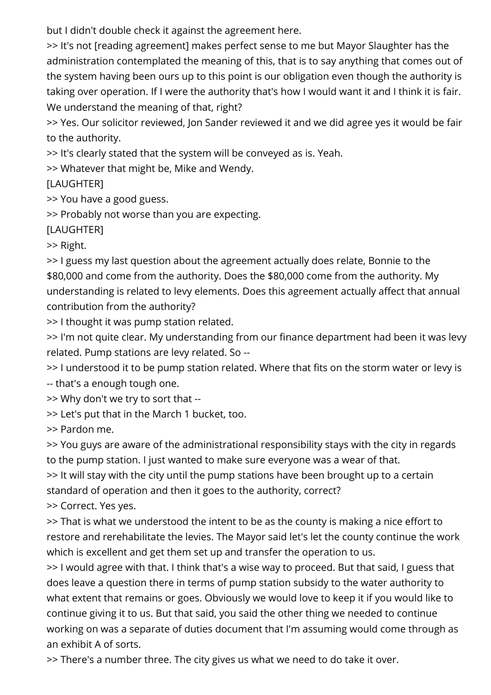but I didn't double check it against the agreement here.

>> It's not [reading agreement] makes perfect sense to me but Mayor Slaughter has the administration contemplated the meaning of this, that is to say anything that comes out of the system having been ours up to this point is our obligation even though the authority is taking over operation. If I were the authority that's how I would want it and I think it is fair. We understand the meaning of that, right?

>> Yes. Our solicitor reviewed, Jon Sander reviewed it and we did agree yes it would be fair to the authority.

>> It's clearly stated that the system will be conveyed as is. Yeah.

>> Whatever that might be, Mike and Wendy.

[LAUGHTER]

>> You have a good guess.

>> Probably not worse than you are expecting.

[LAUGHTER]

>> Right.

>> I guess my last question about the agreement actually does relate, Bonnie to the \$80,000 and come from the authority. Does the \$80,000 come from the authority. My understanding is related to levy elements. Does this agreement actually affect that annual contribution from the authority?

>> I thought it was pump station related.

>> I'm not quite clear. My understanding from our finance department had been it was levy related. Pump stations are levy related. So --

>> I understood it to be pump station related. Where that fits on the storm water or levy is -- that's a enough tough one.

>> Why don't we try to sort that --

>> Let's put that in the March 1 bucket, too.

>> Pardon me.

>> You guys are aware of the administrational responsibility stays with the city in regards to the pump station. I just wanted to make sure everyone was a wear of that.

>> It will stay with the city until the pump stations have been brought up to a certain standard of operation and then it goes to the authority, correct?

>> Correct. Yes yes.

>> That is what we understood the intent to be as the county is making a nice effort to restore and rerehabilitate the levies. The Mayor said let's let the county continue the work which is excellent and get them set up and transfer the operation to us.

>> I would agree with that. I think that's a wise way to proceed. But that said, I guess that does leave a question there in terms of pump station subsidy to the water authority to what extent that remains or goes. Obviously we would love to keep it if you would like to continue giving it to us. But that said, you said the other thing we needed to continue working on was a separate of duties document that I'm assuming would come through as an exhibit A of sorts.

>> There's a number three. The city gives us what we need to do take it over.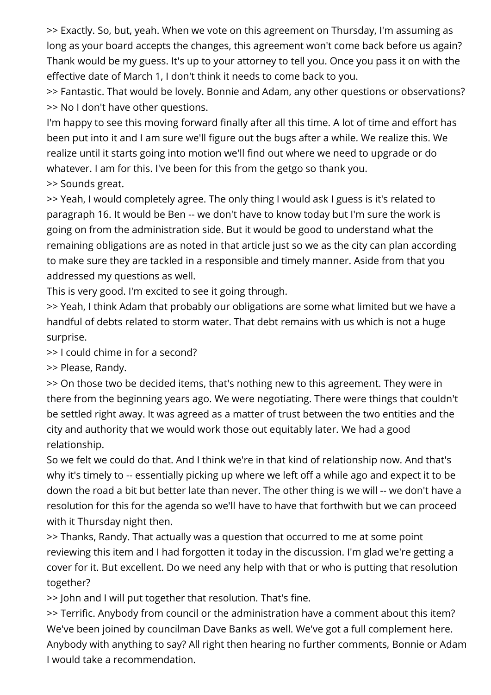>> Exactly. So, but, yeah. When we vote on this agreement on Thursday, I'm assuming as long as your board accepts the changes, this agreement won't come back before us again? Thank would be my guess. It's up to your attorney to tell you. Once you pass it on with the effective date of March 1, I don't think it needs to come back to you.

>> Fantastic. That would be lovely. Bonnie and Adam, any other questions or observations? >> No I don't have other questions.

I'm happy to see this moving forward finally after all this time. A lot of time and effort has been put into it and I am sure we'll figure out the bugs after a while. We realize this. We realize until it starts going into motion we'll find out where we need to upgrade or do whatever. I am for this. I've been for this from the getgo so thank you.

>> Sounds great.

>> Yeah, I would completely agree. The only thing I would ask I guess is it's related to paragraph 16. It would be Ben -- we don't have to know today but I'm sure the work is going on from the administration side. But it would be good to understand what the remaining obligations are as noted in that article just so we as the city can plan according to make sure they are tackled in a responsible and timely manner. Aside from that you addressed my questions as well.

This is very good. I'm excited to see it going through.

>> Yeah, I think Adam that probably our obligations are some what limited but we have a handful of debts related to storm water. That debt remains with us which is not a huge surprise.

>> I could chime in for a second?

>> Please, Randy.

>> On those two be decided items, that's nothing new to this agreement. They were in there from the beginning years ago. We were negotiating. There were things that couldn't be settled right away. It was agreed as a matter of trust between the two entities and the city and authority that we would work those out equitably later. We had a good relationship.

So we felt we could do that. And I think we're in that kind of relationship now. And that's why it's timely to -- essentially picking up where we left off a while ago and expect it to be down the road a bit but better late than never. The other thing is we will -- we don't have a resolution for this for the agenda so we'll have to have that forthwith but we can proceed with it Thursday night then.

>> Thanks, Randy. That actually was a question that occurred to me at some point reviewing this item and I had forgotten it today in the discussion. I'm glad we're getting a cover for it. But excellent. Do we need any help with that or who is putting that resolution together?

>> John and I will put together that resolution. That's fine.

>> Terrific. Anybody from council or the administration have a comment about this item? We've been joined by councilman Dave Banks as well. We've got a full complement here. Anybody with anything to say? All right then hearing no further comments, Bonnie or Adam I would take a recommendation.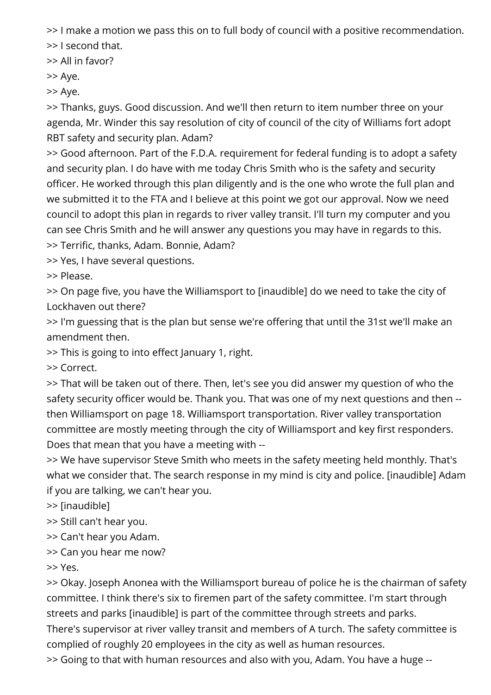>> I make a motion we pass this on to full body of council with a positive recommendation.

>> I second that.

>> All in favor?

>> Aye.

>> Aye.

>> Thanks, guys. Good discussion. And we'll then return to item number three on your agenda, Mr. Winder this say resolution of city of council of the city of Williams fort adopt RBT safety and security plan. Adam?

>> Good afternoon. Part of the F.D.A. requirement for federal funding is to adopt a safety and security plan. I do have with me today Chris Smith who is the safety and security officer. He worked through this plan diligently and is the one who wrote the full plan and we submitted it to the FTA and I believe at this point we got our approval. Now we need council to adopt this plan in regards to river valley transit. I'll turn my computer and you can see Chris Smith and he will answer any questions you may have in regards to this. >> Terrific, thanks, Adam. Bonnie, Adam?

>> Yes, I have several questions.

>> Please.

>> On page five, you have the Williamsport to [inaudible] do we need to take the city of Lockhaven out there?

>> I'm guessing that is the plan but sense we're offering that until the 31st we'll make an amendment then.

>> This is going to into effect January 1, right.

>> Correct.

>> That will be taken out of there. Then, let's see you did answer my question of who the safety security officer would be. Thank you. That was one of my next questions and then - then Williamsport on page 18. Williamsport transportation. River valley transportation committee are mostly meeting through the city of Williamsport and key first responders. Does that mean that you have a meeting with --

>> We have supervisor Steve Smith who meets in the safety meeting held monthly. That's what we consider that. The search response in my mind is city and police. [inaudible] Adam if you are talking, we can't hear you.

>> [inaudible]

>> Still can't hear you.

>> Can't hear you Adam.

>> Can you hear me now?

>> Yes.

>> Okay. Joseph Anonea with the Williamsport bureau of police he is the chairman of safety committee. I think there's six to firemen part of the safety committee. I'm start through streets and parks [inaudible] is part of the committee through streets and parks.

There's supervisor at river valley transit and members of A turch. The safety committee is complied of roughly 20 employees in the city as well as human resources.

>> Going to that with human resources and also with you, Adam. You have a huge --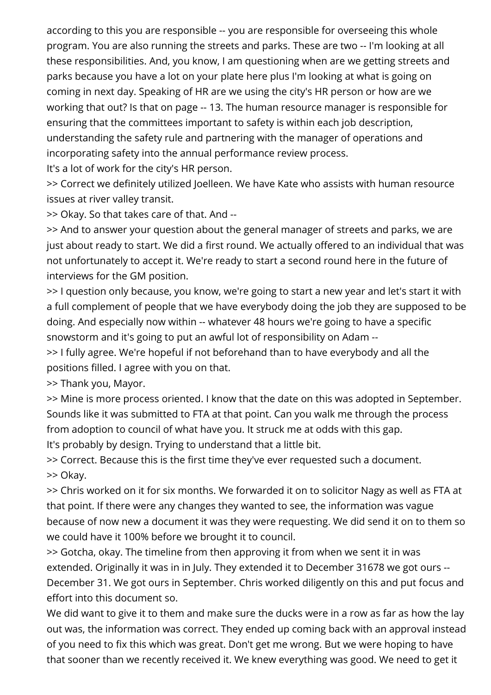according to this you are responsible -- you are responsible for overseeing this whole program. You are also running the streets and parks. These are two -- I'm looking at all these responsibilities. And, you know, I am questioning when are we getting streets and parks because you have a lot on your plate here plus I'm looking at what is going on coming in next day. Speaking of HR are we using the city's HR person or how are we working that out? Is that on page -- 13. The human resource manager is responsible for ensuring that the committees important to safety is within each job description, understanding the safety rule and partnering with the manager of operations and incorporating safety into the annual performance review process.

It's a lot of work for the city's HR person.

>> Correct we definitely utilized Joelleen. We have Kate who assists with human resource issues at river valley transit.

>> Okay. So that takes care of that. And --

>> And to answer your question about the general manager of streets and parks, we are just about ready to start. We did a first round. We actually offered to an individual that was not unfortunately to accept it. We're ready to start a second round here in the future of interviews for the GM position.

>> I question only because, you know, we're going to start a new year and let's start it with a full complement of people that we have everybody doing the job they are supposed to be doing. And especially now within -- whatever 48 hours we're going to have a specific snowstorm and it's going to put an awful lot of responsibility on Adam --

>> I fully agree. We're hopeful if not beforehand than to have everybody and all the positions filled. I agree with you on that.

>> Thank you, Mayor.

>> Mine is more process oriented. I know that the date on this was adopted in September. Sounds like it was submitted to FTA at that point. Can you walk me through the process from adoption to council of what have you. It struck me at odds with this gap. It's probably by design. Trying to understand that a little bit.

>> Correct. Because this is the first time they've ever requested such a document. >> Okay.

>> Chris worked on it for six months. We forwarded it on to solicitor Nagy as well as FTA at that point. If there were any changes they wanted to see, the information was vague because of now new a document it was they were requesting. We did send it on to them so we could have it 100% before we brought it to council.

>> Gotcha, okay. The timeline from then approving it from when we sent it in was extended. Originally it was in in July. They extended it to December 31678 we got ours -- December 31. We got ours in September. Chris worked diligently on this and put focus and effort into this document so.

We did want to give it to them and make sure the ducks were in a row as far as how the lay out was, the information was correct. They ended up coming back with an approval instead of you need to fix this which was great. Don't get me wrong. But we were hoping to have that sooner than we recently received it. We knew everything was good. We need to get it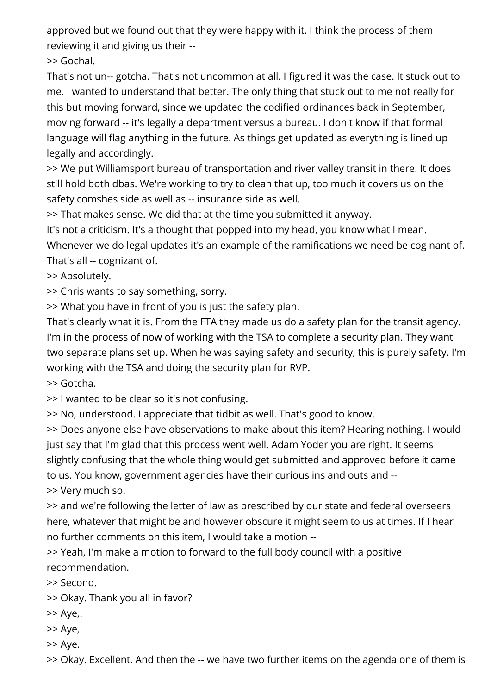approved but we found out that they were happy with it. I think the process of them reviewing it and giving us their --

>> Gochal.

That's not un-- gotcha. That's not uncommon at all. I figured it was the case. It stuck out to me. I wanted to understand that better. The only thing that stuck out to me not really for this but moving forward, since we updated the codified ordinances back in September, moving forward -- it's legally a department versus a bureau. I don't know if that formal language will flag anything in the future. As things get updated as everything is lined up legally and accordingly.

>> We put Williamsport bureau of transportation and river valley transit in there. It does still hold both dbas. We're working to try to clean that up, too much it covers us on the safety comshes side as well as -- insurance side as well.

>> That makes sense. We did that at the time you submitted it anyway.

It's not a criticism. It's a thought that popped into my head, you know what I mean. Whenever we do legal updates it's an example of the ramifications we need be cog nant of. That's all -- cognizant of.

>> Absolutely.

>> Chris wants to say something, sorry.

>> What you have in front of you is just the safety plan.

That's clearly what it is. From the FTA they made us do a safety plan for the transit agency. I'm in the process of now of working with the TSA to complete a security plan. They want two separate plans set up. When he was saying safety and security, this is purely safety. I'm working with the TSA and doing the security plan for RVP.

>> Gotcha.

>> I wanted to be clear so it's not confusing.

>> No, understood. I appreciate that tidbit as well. That's good to know.

>> Does anyone else have observations to make about this item? Hearing nothing, I would just say that I'm glad that this process went well. Adam Yoder you are right. It seems slightly confusing that the whole thing would get submitted and approved before it came to us. You know, government agencies have their curious ins and outs and -- >> Very much so.

>> and we're following the letter of law as prescribed by our state and federal overseers here, whatever that might be and however obscure it might seem to us at times. If I hear no further comments on this item, I would take a motion --

>> Yeah, I'm make a motion to forward to the full body council with a positive recommendation.

>> Second.

- >> Okay. Thank you all in favor?
- >> Aye,.
- >> Aye,.
- >> Aye.

>> Okay. Excellent. And then the -- we have two further items on the agenda one of them is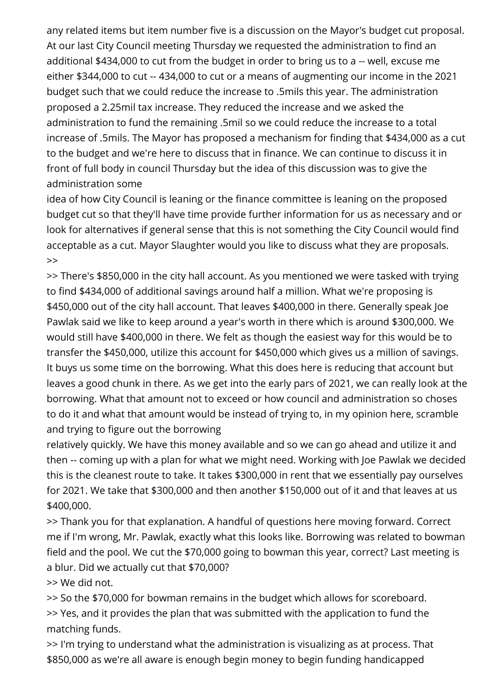any related items but item number five is a discussion on the Mayor's budget cut proposal. At our last City Council meeting Thursday we requested the administration to find an additional \$434,000 to cut from the budget in order to bring us to a -- well, excuse me either \$344,000 to cut -- 434,000 to cut or a means of augmenting our income in the 2021 budget such that we could reduce the increase to .5mils this year. The administration proposed a 2.25mil tax increase. They reduced the increase and we asked the administration to fund the remaining .5mil so we could reduce the increase to a total increase of .5mils. The Mayor has proposed a mechanism for finding that \$434,000 as a cut to the budget and we're here to discuss that in finance. We can continue to discuss it in front of full body in council Thursday but the idea of this discussion was to give the administration some

idea of how City Council is leaning or the finance committee is leaning on the proposed budget cut so that they'll have time provide further information for us as necessary and or look for alternatives if general sense that this is not something the City Council would find acceptable as a cut. Mayor Slaughter would you like to discuss what they are proposals. >>

>> There's \$850,000 in the city hall account. As you mentioned we were tasked with trying to find \$434,000 of additional savings around half a million. What we're proposing is \$450,000 out of the city hall account. That leaves \$400,000 in there. Generally speak Joe Pawlak said we like to keep around a year's worth in there which is around \$300,000. We would still have \$400,000 in there. We felt as though the easiest way for this would be to transfer the \$450,000, utilize this account for \$450,000 which gives us a million of savings. It buys us some time on the borrowing. What this does here is reducing that account but leaves a good chunk in there. As we get into the early pars of 2021, we can really look at the borrowing. What that amount not to exceed or how council and administration so choses to do it and what that amount would be instead of trying to, in my opinion here, scramble and trying to figure out the borrowing

relatively quickly. We have this money available and so we can go ahead and utilize it and then -- coming up with a plan for what we might need. Working with Joe Pawlak we decided this is the cleanest route to take. It takes \$300,000 in rent that we essentially pay ourselves for 2021. We take that \$300,000 and then another \$150,000 out of it and that leaves at us \$400,000.

>> Thank you for that explanation. A handful of questions here moving forward. Correct me if I'm wrong, Mr. Pawlak, exactly what this looks like. Borrowing was related to bowman field and the pool. We cut the \$70,000 going to bowman this year, correct? Last meeting is a blur. Did we actually cut that \$70,000?

>> We did not.

>> So the \$70,000 for bowman remains in the budget which allows for scoreboard. >> Yes, and it provides the plan that was submitted with the application to fund the matching funds.

>> I'm trying to understand what the administration is visualizing as at process. That \$850,000 as we're all aware is enough begin money to begin funding handicapped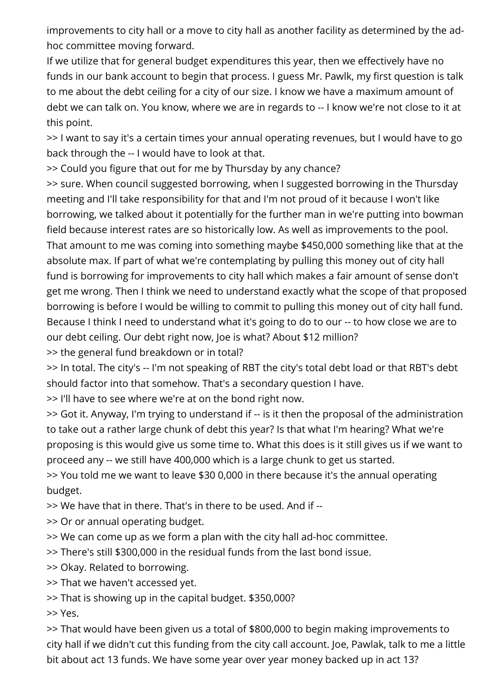improvements to city hall or a move to city hall as another facility as determined by the adhoc committee moving forward.

If we utilize that for general budget expenditures this year, then we effectively have no funds in our bank account to begin that process. I guess Mr. Pawlk, my first question is talk to me about the debt ceiling for a city of our size. I know we have a maximum amount of debt we can talk on. You know, where we are in regards to -- I know we're not close to it at this point.

>> I want to say it's a certain times your annual operating revenues, but I would have to go back through the -- I would have to look at that.

>> Could you figure that out for me by Thursday by any chance?

>> sure. When council suggested borrowing, when I suggested borrowing in the Thursday meeting and I'll take responsibility for that and I'm not proud of it because I won't like borrowing, we talked about it potentially for the further man in we're putting into bowman field because interest rates are so historically low. As well as improvements to the pool. That amount to me was coming into something maybe \$450,000 something like that at the absolute max. If part of what we're contemplating by pulling this money out of city hall fund is borrowing for improvements to city hall which makes a fair amount of sense don't get me wrong. Then I think we need to understand exactly what the scope of that proposed borrowing is before I would be willing to commit to pulling this money out of city hall fund. Because I think I need to understand what it's going to do to our -- to how close we are to our debt ceiling. Our debt right now, Joe is what? About \$12 million?

>> the general fund breakdown or in total?

>> In total. The city's -- I'm not speaking of RBT the city's total debt load or that RBT's debt should factor into that somehow. That's a secondary question I have.

>> I'll have to see where we're at on the bond right now.

>> Got it. Anyway, I'm trying to understand if -- is it then the proposal of the administration to take out a rather large chunk of debt this year? Is that what I'm hearing? What we're proposing is this would give us some time to. What this does is it still gives us if we want to proceed any -- we still have 400,000 which is a large chunk to get us started.

>> You told me we want to leave \$30 0,000 in there because it's the annual operating budget.

>> We have that in there. That's in there to be used. And if --

>> Or or annual operating budget.

>> We can come up as we form a plan with the city hall ad-hoc committee.

>> There's still \$300,000 in the residual funds from the last bond issue.

>> Okay. Related to borrowing.

>> That we haven't accessed yet.

>> That is showing up in the capital budget. \$350,000?

>> Yes.

>> That would have been given us a total of \$800,000 to begin making improvements to city hall if we didn't cut this funding from the city call account. Joe, Pawlak, talk to me a little bit about act 13 funds. We have some year over year money backed up in act 13?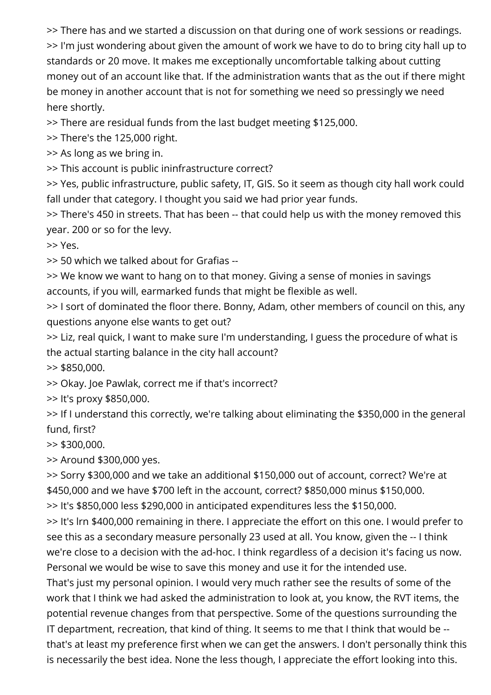>> There has and we started a discussion on that during one of work sessions or readings. >> I'm just wondering about given the amount of work we have to do to bring city hall up to standards or 20 move. It makes me exceptionally uncomfortable talking about cutting money out of an account like that. If the administration wants that as the out if there might be money in another account that is not for something we need so pressingly we need here shortly.

>> There are residual funds from the last budget meeting \$125,000.

>> There's the 125,000 right.

>> As long as we bring in.

>> This account is public ininfrastructure correct?

>> Yes, public infrastructure, public safety, IT, GIS. So it seem as though city hall work could fall under that category. I thought you said we had prior year funds.

>> There's 450 in streets. That has been -- that could help us with the money removed this year. 200 or so for the levy.

>> Yes.

>> 50 which we talked about for Grafias --

>> We know we want to hang on to that money. Giving a sense of monies in savings accounts, if you will, earmarked funds that might be flexible as well.

>> I sort of dominated the floor there. Bonny, Adam, other members of council on this, any questions anyone else wants to get out?

>> Liz, real quick, I want to make sure I'm understanding, I guess the procedure of what is the actual starting balance in the city hall account?

>> \$850,000.

>> Okay. Joe Pawlak, correct me if that's incorrect?

>> It's proxy \$850,000.

>> If I understand this correctly, we're talking about eliminating the \$350,000 in the general fund, first?

 $>$  \$300,000.

>> Around \$300,000 yes.

>> Sorry \$300,000 and we take an additional \$150,000 out of account, correct? We're at \$450,000 and we have \$700 left in the account, correct? \$850,000 minus \$150,000.

>> It's \$850,000 less \$290,000 in anticipated expenditures less the \$150,000.

>> It's lrn \$400,000 remaining in there. I appreciate the effort on this one. I would prefer to see this as a secondary measure personally 23 used at all. You know, given the -- I think we're close to a decision with the ad-hoc. I think regardless of a decision it's facing us now. Personal we would be wise to save this money and use it for the intended use.

That's just my personal opinion. I would very much rather see the results of some of the work that I think we had asked the administration to look at, you know, the RVT items, the potential revenue changes from that perspective. Some of the questions surrounding the IT department, recreation, that kind of thing. It seems to me that I think that would be - that's at least my preference first when we can get the answers. I don't personally think this is necessarily the best idea. None the less though, I appreciate the effort looking into this.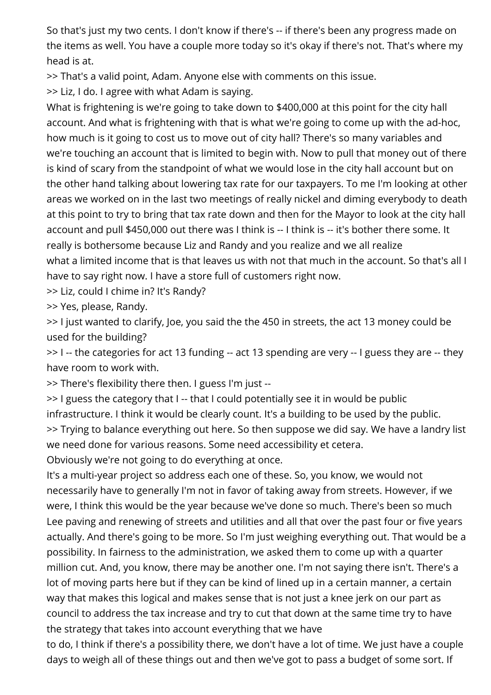So that's just my two cents. I don't know if there's -- if there's been any progress made on the items as well. You have a couple more today so it's okay if there's not. That's where my head is at.

>> That's a valid point, Adam. Anyone else with comments on this issue.

>> Liz, I do. I agree with what Adam is saying.

What is frightening is we're going to take down to \$400,000 at this point for the city hall account. And what is frightening with that is what we're going to come up with the ad-hoc, how much is it going to cost us to move out of city hall? There's so many variables and we're touching an account that is limited to begin with. Now to pull that money out of there is kind of scary from the standpoint of what we would lose in the city hall account but on the other hand talking about lowering tax rate for our taxpayers. To me I'm looking at other areas we worked on in the last two meetings of really nickel and diming everybody to death at this point to try to bring that tax rate down and then for the Mayor to look at the city hall account and pull \$450,000 out there was I think is -- I think is -- it's bother there some. It really is bothersome because Liz and Randy and you realize and we all realize what a limited income that is that leaves us with not that much in the account. So that's all I have to say right now. I have a store full of customers right now.

>> Liz, could I chime in? It's Randy?

>> Yes, please, Randy.

>> I just wanted to clarify, Joe, you said the the 450 in streets, the act 13 money could be used for the building?

>> I -- the categories for act 13 funding -- act 13 spending are very -- I guess they are -- they have room to work with.

>> There's flexibility there then. I guess I'm just --

>> I guess the category that I -- that I could potentially see it in would be public infrastructure. I think it would be clearly count. It's a building to be used by the public. >> Trying to balance everything out here. So then suppose we did say. We have a landry list we need done for various reasons. Some need accessibility et cetera.

Obviously we're not going to do everything at once.

It's a multi-year project so address each one of these. So, you know, we would not necessarily have to generally I'm not in favor of taking away from streets. However, if we were, I think this would be the year because we've done so much. There's been so much Lee paving and renewing of streets and utilities and all that over the past four or five years actually. And there's going to be more. So I'm just weighing everything out. That would be a possibility. In fairness to the administration, we asked them to come up with a quarter million cut. And, you know, there may be another one. I'm not saying there isn't. There's a lot of moving parts here but if they can be kind of lined up in a certain manner, a certain way that makes this logical and makes sense that is not just a knee jerk on our part as council to address the tax increase and try to cut that down at the same time try to have the strategy that takes into account everything that we have

to do, I think if there's a possibility there, we don't have a lot of time. We just have a couple days to weigh all of these things out and then we've got to pass a budget of some sort. If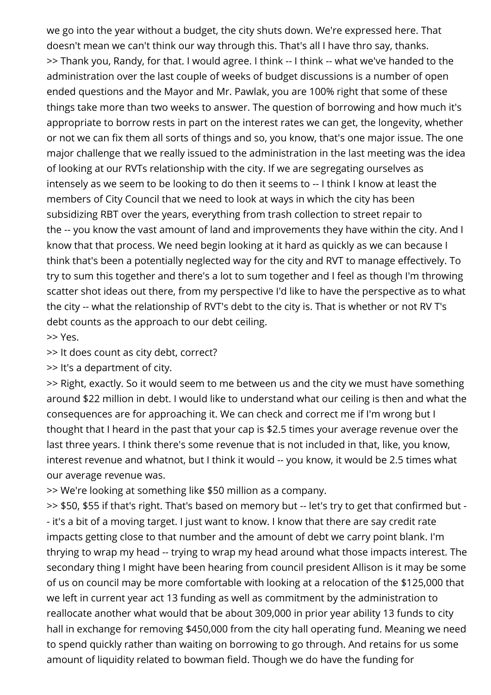we go into the year without a budget, the city shuts down. We're expressed here. That doesn't mean we can't think our way through this. That's all I have thro say, thanks. >> Thank you, Randy, for that. I would agree. I think -- I think -- what we've handed to the administration over the last couple of weeks of budget discussions is a number of open ended questions and the Mayor and Mr. Pawlak, you are 100% right that some of these things take more than two weeks to answer. The question of borrowing and how much it's appropriate to borrow rests in part on the interest rates we can get, the longevity, whether or not we can fix them all sorts of things and so, you know, that's one major issue. The one major challenge that we really issued to the administration in the last meeting was the idea of looking at our RVTs relationship with the city. If we are segregating ourselves as intensely as we seem to be looking to do then it seems to -- I think I know at least the members of City Council that we need to look at ways in which the city has been subsidizing RBT over the years, everything from trash collection to street repair to the -- you know the vast amount of land and improvements they have within the city. And I know that that process. We need begin looking at it hard as quickly as we can because I think that's been a potentially neglected way for the city and RVT to manage effectively. To try to sum this together and there's a lot to sum together and I feel as though I'm throwing scatter shot ideas out there, from my perspective I'd like to have the perspective as to what the city -- what the relationship of RVT's debt to the city is. That is whether or not RV T's debt counts as the approach to our debt ceiling.

>> Yes.

>> It does count as city debt, correct?

>> It's a department of city.

>> Right, exactly. So it would seem to me between us and the city we must have something around \$22 million in debt. I would like to understand what our ceiling is then and what the consequences are for approaching it. We can check and correct me if I'm wrong but I thought that I heard in the past that your cap is \$2.5 times your average revenue over the last three years. I think there's some revenue that is not included in that, like, you know, interest revenue and whatnot, but I think it would -- you know, it would be 2.5 times what our average revenue was.

>> We're looking at something like \$50 million as a company.

>> \$50, \$55 if that's right. That's based on memory but -- let's try to get that confirmed but -- it's a bit of a moving target. I just want to know. I know that there are say credit rate impacts getting close to that number and the amount of debt we carry point blank. I'm thrying to wrap my head -- trying to wrap my head around what those impacts interest. The secondary thing I might have been hearing from council president Allison is it may be some of us on council may be more comfortable with looking at a relocation of the \$125,000 that we left in current year act 13 funding as well as commitment by the administration to reallocate another what would that be about 309,000 in prior year ability 13 funds to city hall in exchange for removing \$450,000 from the city hall operating fund. Meaning we need to spend quickly rather than waiting on borrowing to go through. And retains for us some amount of liquidity related to bowman field. Though we do have the funding for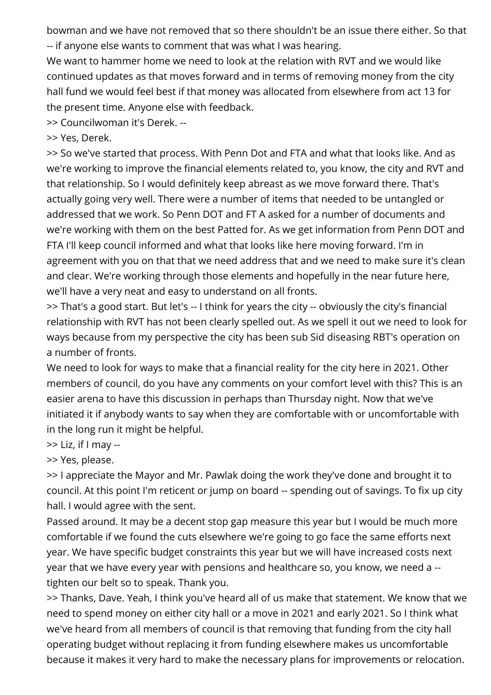bowman and we have not removed that so there shouldn't be an issue there either. So that -- if anyone else wants to comment that was what I was hearing.

We want to hammer home we need to look at the relation with RVT and we would like continued updates as that moves forward and in terms of removing money from the city hall fund we would feel best if that money was allocated from elsewhere from act 13 for the present time. Anyone else with feedback.

>> Councilwoman it's Derek. --

>> Yes, Derek.

>> So we've started that process. With Penn Dot and FTA and what that looks like. And as we're working to improve the financial elements related to, you know, the city and RVT and that relationship. So I would definitely keep abreast as we move forward there. That's actually going very well. There were a number of items that needed to be untangled or addressed that we work. So Penn DOT and FT A asked for a number of documents and we're working with them on the best Patted for. As we get information from Penn DOT and FTA I'll keep council informed and what that looks like here moving forward. I'm in agreement with you on that that we need address that and we need to make sure it's clean and clear. We're working through those elements and hopefully in the near future here, we'll have a very neat and easy to understand on all fronts.

>> That's a good start. But let's -- I think for years the city -- obviously the city's financial relationship with RVT has not been clearly spelled out. As we spell it out we need to look for ways because from my perspective the city has been sub Sid diseasing RBT's operation on a number of fronts.

We need to look for ways to make that a financial reality for the city here in 2021. Other members of council, do you have any comments on your comfort level with this? This is an easier arena to have this discussion in perhaps than Thursday night. Now that we've initiated it if anybody wants to say when they are comfortable with or uncomfortable with in the long run it might be helpful.

 $\gg$  Liz, if I may --

>> Yes, please.

>> I appreciate the Mayor and Mr. Pawlak doing the work they've done and brought it to council. At this point I'm reticent or jump on board -- spending out of savings. To fix up city hall. I would agree with the sent.

Passed around. It may be a decent stop gap measure this year but I would be much more comfortable if we found the cuts elsewhere we're going to go face the same efforts next year. We have specific budget constraints this year but we will have increased costs next year that we have every year with pensions and healthcare so, you know, we need a - tighten our belt so to speak. Thank you.

>> Thanks, Dave. Yeah, I think you've heard all of us make that statement. We know that we need to spend money on either city hall or a move in 2021 and early 2021. So I think what we've heard from all members of council is that removing that funding from the city hall operating budget without replacing it from funding elsewhere makes us uncomfortable because it makes it very hard to make the necessary plans for improvements or relocation.